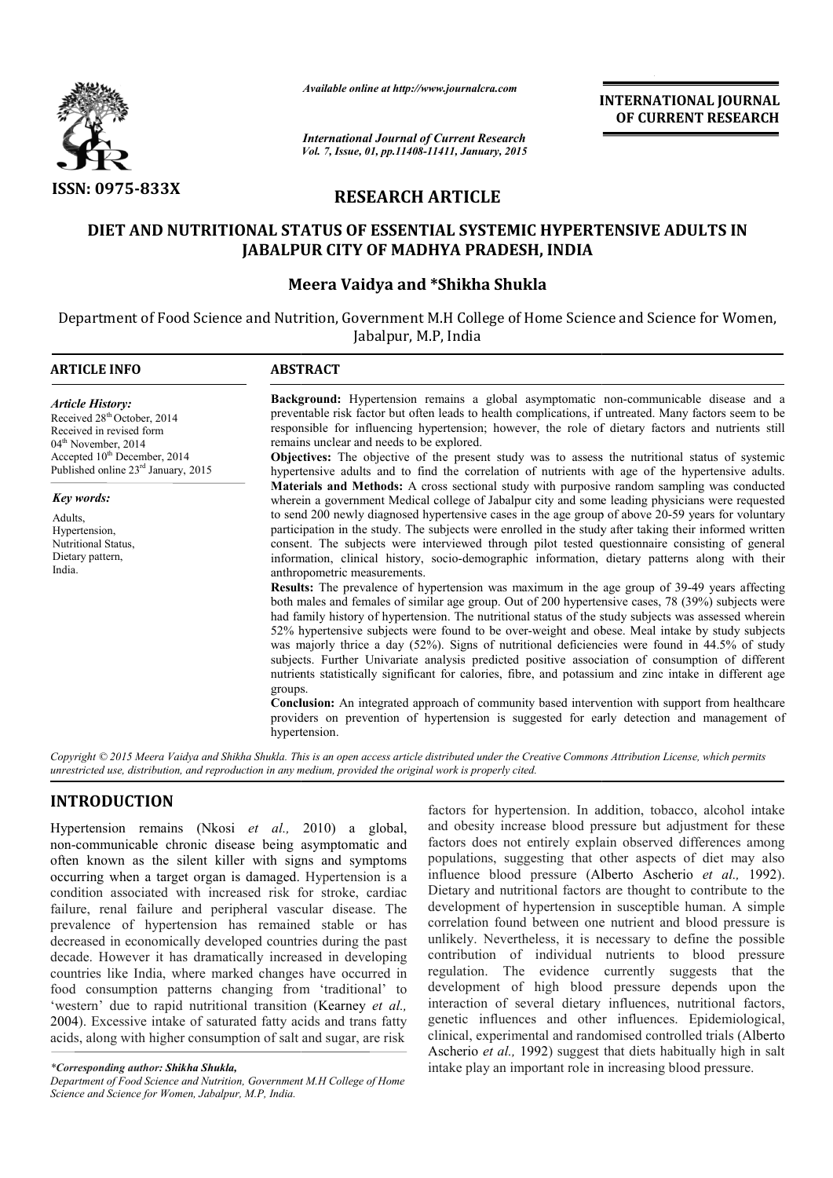

*Available online at http://www.journalcra.com*

# **RESEARCH ARTICLE**

# **DIET AND NUTRITIONAL STATUS OF ESSENTIAL SYSTEMIC HYPERTENSIVE ADULTS IN DIET AND NUTRITIONAL JABALPUR CITY OF MADHYA PRADESH, INDIA**

## **Meera Vaidya and \*Shikha Shukla**

|                                                                                                                                                                                                                    | unuvic viime ui nup.//www.jvurnuicru.com                                                                                                                                                                                                                                                                                                                                                                                                                                                                                                                                                                                                                                                                                                                                                                                                                                                                                                                                                                                                                                                                                                                                                                                                                                                                                                                                                                                                                                                                                                                                                                                              | <b>INTERNATIONAL JOURNAL</b><br>OF CURRENT RESEARCH                                                                                                                                                                                                                                                                                                                                                                                                                                                                                                        |                                                                                                                                                                                                                                                                                                                                                                                                                                                                                                                                                                                                                                                                                                                                                                                                                                                                                                                                                                                                                                               |  |  |  |
|--------------------------------------------------------------------------------------------------------------------------------------------------------------------------------------------------------------------|---------------------------------------------------------------------------------------------------------------------------------------------------------------------------------------------------------------------------------------------------------------------------------------------------------------------------------------------------------------------------------------------------------------------------------------------------------------------------------------------------------------------------------------------------------------------------------------------------------------------------------------------------------------------------------------------------------------------------------------------------------------------------------------------------------------------------------------------------------------------------------------------------------------------------------------------------------------------------------------------------------------------------------------------------------------------------------------------------------------------------------------------------------------------------------------------------------------------------------------------------------------------------------------------------------------------------------------------------------------------------------------------------------------------------------------------------------------------------------------------------------------------------------------------------------------------------------------------------------------------------------------|------------------------------------------------------------------------------------------------------------------------------------------------------------------------------------------------------------------------------------------------------------------------------------------------------------------------------------------------------------------------------------------------------------------------------------------------------------------------------------------------------------------------------------------------------------|-----------------------------------------------------------------------------------------------------------------------------------------------------------------------------------------------------------------------------------------------------------------------------------------------------------------------------------------------------------------------------------------------------------------------------------------------------------------------------------------------------------------------------------------------------------------------------------------------------------------------------------------------------------------------------------------------------------------------------------------------------------------------------------------------------------------------------------------------------------------------------------------------------------------------------------------------------------------------------------------------------------------------------------------------|--|--|--|
|                                                                                                                                                                                                                    | <b>International Journal of Current Research</b><br>Vol. 7, Issue, 01, pp.11408-11411, January, 2015                                                                                                                                                                                                                                                                                                                                                                                                                                                                                                                                                                                                                                                                                                                                                                                                                                                                                                                                                                                                                                                                                                                                                                                                                                                                                                                                                                                                                                                                                                                                  |                                                                                                                                                                                                                                                                                                                                                                                                                                                                                                                                                            |                                                                                                                                                                                                                                                                                                                                                                                                                                                                                                                                                                                                                                                                                                                                                                                                                                                                                                                                                                                                                                               |  |  |  |
| <b>ISSN: 0975-833X</b>                                                                                                                                                                                             |                                                                                                                                                                                                                                                                                                                                                                                                                                                                                                                                                                                                                                                                                                                                                                                                                                                                                                                                                                                                                                                                                                                                                                                                                                                                                                                                                                                                                                                                                                                                                                                                                                       | <b>RESEARCH ARTICLE</b>                                                                                                                                                                                                                                                                                                                                                                                                                                                                                                                                    |                                                                                                                                                                                                                                                                                                                                                                                                                                                                                                                                                                                                                                                                                                                                                                                                                                                                                                                                                                                                                                               |  |  |  |
|                                                                                                                                                                                                                    | DIET AND NUTRITIONAL STATUS OF ESSENTIAL SYSTEMIC HYPERTENSIVE ADULTS IN<br><b>JABALPUR CITY OF MADHYA PRADESH, INDIA</b>                                                                                                                                                                                                                                                                                                                                                                                                                                                                                                                                                                                                                                                                                                                                                                                                                                                                                                                                                                                                                                                                                                                                                                                                                                                                                                                                                                                                                                                                                                             |                                                                                                                                                                                                                                                                                                                                                                                                                                                                                                                                                            |                                                                                                                                                                                                                                                                                                                                                                                                                                                                                                                                                                                                                                                                                                                                                                                                                                                                                                                                                                                                                                               |  |  |  |
|                                                                                                                                                                                                                    | Meera Vaidya and *Shikha Shukla                                                                                                                                                                                                                                                                                                                                                                                                                                                                                                                                                                                                                                                                                                                                                                                                                                                                                                                                                                                                                                                                                                                                                                                                                                                                                                                                                                                                                                                                                                                                                                                                       |                                                                                                                                                                                                                                                                                                                                                                                                                                                                                                                                                            |                                                                                                                                                                                                                                                                                                                                                                                                                                                                                                                                                                                                                                                                                                                                                                                                                                                                                                                                                                                                                                               |  |  |  |
|                                                                                                                                                                                                                    | Jabalpur, M.P, India                                                                                                                                                                                                                                                                                                                                                                                                                                                                                                                                                                                                                                                                                                                                                                                                                                                                                                                                                                                                                                                                                                                                                                                                                                                                                                                                                                                                                                                                                                                                                                                                                  |                                                                                                                                                                                                                                                                                                                                                                                                                                                                                                                                                            | Department of Food Science and Nutrition, Government M.H College of Home Science and Science for Women,                                                                                                                                                                                                                                                                                                                                                                                                                                                                                                                                                                                                                                                                                                                                                                                                                                                                                                                                       |  |  |  |
| <b>ARTICLE INFO</b>                                                                                                                                                                                                | <b>ABSTRACT</b>                                                                                                                                                                                                                                                                                                                                                                                                                                                                                                                                                                                                                                                                                                                                                                                                                                                                                                                                                                                                                                                                                                                                                                                                                                                                                                                                                                                                                                                                                                                                                                                                                       |                                                                                                                                                                                                                                                                                                                                                                                                                                                                                                                                                            |                                                                                                                                                                                                                                                                                                                                                                                                                                                                                                                                                                                                                                                                                                                                                                                                                                                                                                                                                                                                                                               |  |  |  |
| <b>Article History:</b><br>Received 28 <sup>th</sup> October, 2014<br>Received in revised form<br>04 <sup>th</sup> November, 2014<br>Accepted $10^{th}$ December, 2014<br>Published online $23^{rd}$ January, 2015 |                                                                                                                                                                                                                                                                                                                                                                                                                                                                                                                                                                                                                                                                                                                                                                                                                                                                                                                                                                                                                                                                                                                                                                                                                                                                                                                                                                                                                                                                                                                                                                                                                                       | Background: Hypertension remains a global asymptomatic non-communicable disease and a<br>preventable risk factor but often leads to health complications, if untreated. Many factors seem to be<br>responsible for influencing hypertension; however, the role of dietary factors and nutrients still<br>remains unclear and needs to be explored.<br>Objectives: The objective of the present study was to assess the nutritional status of systemic<br>hypertensive adults and to find the correlation of nutrients with age of the hypertensive adults. |                                                                                                                                                                                                                                                                                                                                                                                                                                                                                                                                                                                                                                                                                                                                                                                                                                                                                                                                                                                                                                               |  |  |  |
| <b>Key words:</b><br>Adults,<br>Hypertension,<br>Nutritional Status,<br>Dietary pattern,<br>India.                                                                                                                 | Materials and Methods: A cross sectional study with purposive random sampling was conducted<br>wherein a government Medical college of Jabalpur city and some leading physicians were requested<br>to send 200 newly diagnosed hypertensive cases in the age group of above 20-59 years for voluntary<br>participation in the study. The subjects were enrolled in the study after taking their informed written<br>consent. The subjects were interviewed through pilot tested questionnaire consisting of general<br>information, clinical history, socio-demographic information, dietary patterns along with their<br>anthropometric measurements.<br><b>Results:</b> The prevalence of hypertension was maximum in the age group of 39-49 years affecting<br>both males and females of similar age group. Out of 200 hypertensive cases, 78 (39%) subjects were<br>had family history of hypertension. The nutritional status of the study subjects was assessed wherein<br>52% hypertensive subjects were found to be over-weight and obese. Meal intake by study subjects<br>was majorly thrice a day (52%). Signs of nutritional deficiencies were found in 44.5% of study<br>subjects. Further Univariate analysis predicted positive association of consumption of different<br>nutrients statistically significant for calories, fibre, and potassium and zinc intake in different age<br>groups.<br><b>Conclusion:</b> An integrated approach of community based intervention with support from healthcare<br>providers on prevention of hypertension is suggested for early detection and management of<br>hypertension. |                                                                                                                                                                                                                                                                                                                                                                                                                                                                                                                                                            |                                                                                                                                                                                                                                                                                                                                                                                                                                                                                                                                                                                                                                                                                                                                                                                                                                                                                                                                                                                                                                               |  |  |  |
|                                                                                                                                                                                                                    | unrestricted use, distribution, and reproduction in any medium, provided the original work is properly cited.                                                                                                                                                                                                                                                                                                                                                                                                                                                                                                                                                                                                                                                                                                                                                                                                                                                                                                                                                                                                                                                                                                                                                                                                                                                                                                                                                                                                                                                                                                                         |                                                                                                                                                                                                                                                                                                                                                                                                                                                                                                                                                            | Copyright © 2015 Meera Vaidya and Shikha Shukla. This is an open access article distributed under the Creative Commons Attribution License, which permits                                                                                                                                                                                                                                                                                                                                                                                                                                                                                                                                                                                                                                                                                                                                                                                                                                                                                     |  |  |  |
| <b>INTRODUCTION</b>                                                                                                                                                                                                |                                                                                                                                                                                                                                                                                                                                                                                                                                                                                                                                                                                                                                                                                                                                                                                                                                                                                                                                                                                                                                                                                                                                                                                                                                                                                                                                                                                                                                                                                                                                                                                                                                       |                                                                                                                                                                                                                                                                                                                                                                                                                                                                                                                                                            | factors for hypertension. In addition, tobacco, alcohol intake                                                                                                                                                                                                                                                                                                                                                                                                                                                                                                                                                                                                                                                                                                                                                                                                                                                                                                                                                                                |  |  |  |
| *Corresponding author: Shikha Shukla,                                                                                                                                                                              | Hypertension remains (Nkosi et al., 2010) a global,<br>non-communicable chronic disease being asymptomatic and<br>often known as the silent killer with signs and symptoms<br>occurring when a target organ is damaged. Hypertension is a<br>condition associated with increased risk for stroke, cardiac<br>failure, renal failure and peripheral vascular disease. The<br>prevalence of hypertension has remained stable or has<br>decreased in economically developed countries during the past<br>decade. However it has dramatically increased in developing<br>countries like India, where marked changes have occurred in<br>food consumption patterns changing from 'traditional' to<br>'western' due to rapid nutritional transition (Kearney et al.,<br>2004). Excessive intake of saturated fatty acids and trans fatty<br>acids, along with higher consumption of salt and sugar, are risk                                                                                                                                                                                                                                                                                                                                                                                                                                                                                                                                                                                                                                                                                                                                |                                                                                                                                                                                                                                                                                                                                                                                                                                                                                                                                                            | and obesity increase blood pressure but adjustment for these<br>factors does not entirely explain observed differences among<br>populations, suggesting that other aspects of diet may also<br>influence blood pressure (Alberto Ascherio et al., 1992).<br>Dietary and nutritional factors are thought to contribute to the<br>development of hypertension in susceptible human. A simple<br>correlation found between one nutrient and blood pressure is<br>unlikely. Nevertheless, it is necessary to define the possible<br>contribution of individual nutrients to blood pressure<br>regulation. The evidence currently suggests that the<br>development of high blood pressure depends upon the<br>interaction of several dietary influences, nutritional factors,<br>genetic influences and other influences. Epidemiological,<br>clinical, experimental and randomised controlled trials (Alberto<br>Ascherio et al., 1992) suggest that diets habitually high in salt<br>intake play an important role in increasing blood pressure. |  |  |  |

# **INTRODUCTION**

*<sup>\*</sup>Corresponding author: Shikha Shukla,*

*Department of Food Science and Nutrition, Government M.H College of Home Science and Science for Women, Jabalpur, M.P, India.*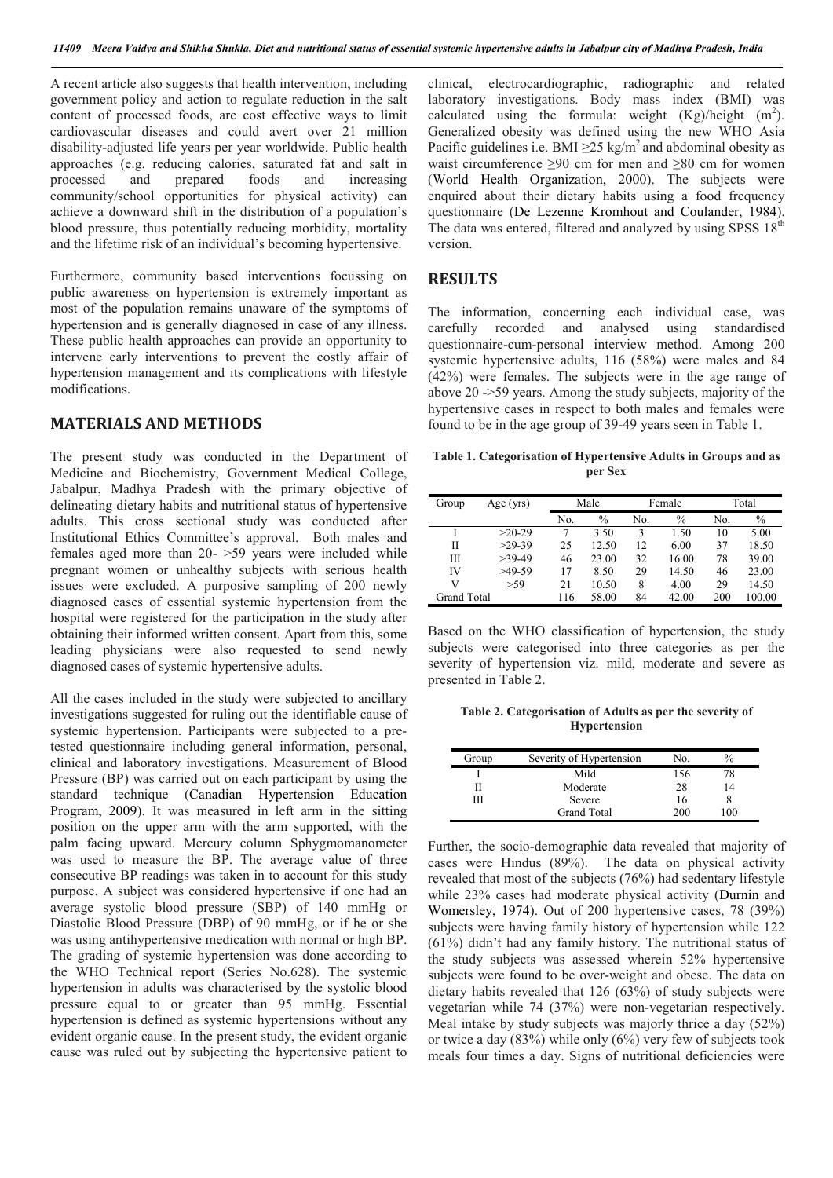A recent article also suggests that health intervention, including government policy and action to regulate reduction in the salt content of processed foods, are cost effective ways to limit cardiovascular diseases and could avert over 21 million disability-adjusted life years per year worldwide. Public health approaches (e.g. reducing calories, saturated fat and salt in processed and prepared foods and increasing community/school opportunities for physical activity) can achieve a downward shift in the distribution of a population's blood pressure, thus potentially reducing morbidity, mortality and the lifetime risk of an individual's becoming hypertensive.

Furthermore, community based interventions focussing on public awareness on hypertension is extremely important as most of the population remains unaware of the symptoms of hypertension and is generally diagnosed in case of any illness. These public health approaches can provide an opportunity to intervene early interventions to prevent the costly affair of hypertension management and its complications with lifestyle modifications.

## **MATERIALS AND METHODS**

The present study was conducted in the Department of Medicine and Biochemistry, Government Medical College, Jabalpur, Madhya Pradesh with the primary objective of delineating dietary habits and nutritional status of hypertensive adults. This cross sectional study was conducted after Institutional Ethics Committee's approval. Both males and females aged more than 20- >59 years were included while pregnant women or unhealthy subjects with serious health issues were excluded. A purposive sampling of 200 newly diagnosed cases of essential systemic hypertension from the hospital were registered for the participation in the study after obtaining their informed written consent. Apart from this, some leading physicians were also requested to send newly diagnosed cases of systemic hypertensive adults.

All the cases included in the study were subjected to ancillary investigations suggested for ruling out the identifiable cause of systemic hypertension. Participants were subjected to a pretested questionnaire including general information, personal, clinical and laboratory investigations. Measurement of Blood Pressure (BP) was carried out on each participant by using the standard technique (Canadian Hypertension Education Program, 2009). It was measured in left arm in the sitting position on the upper arm with the arm supported, with the palm facing upward. Mercury column Sphygmomanometer was used to measure the BP. The average value of three consecutive BP readings was taken in to account for this study purpose. A subject was considered hypertensive if one had an average systolic blood pressure (SBP) of 140 mmHg or Diastolic Blood Pressure (DBP) of 90 mmHg, or if he or she was using antihypertensive medication with normal or high BP. The grading of systemic hypertension was done according to the WHO Technical report (Series No.628). The systemic hypertension in adults was characterised by the systolic blood pressure equal to or greater than 95 mmHg. Essential hypertension is defined as systemic hypertensions without any evident organic cause. In the present study, the evident organic cause was ruled out by subjecting the hypertensive patient to

clinical, electrocardiographic, radiographic and related laboratory investigations. Body mass index (BMI) was calculated using the formula: weight  $(Kg)/height$  (m<sup>2</sup>). Generalized obesity was defined using the new WHO Asia Pacific guidelines i.e. BMI  $\geq$ 25 kg/m<sup>2</sup> and abdominal obesity as waist circumference  $\geq 90$  cm for men and  $\geq 80$  cm for women (World Health Organization, 2000). The subjects were enquired about their dietary habits using a food frequency questionnaire (De Lezenne Kromhout and Coulander, 1984). The data was entered, filtered and analyzed by using SPSS  $18<sup>th</sup>$ version.

### **RESULTS**

The information, concerning each individual case, was carefully recorded and analysed using standardised questionnaire-cum-personal interview method. Among 200 systemic hypertensive adults, 116 (58%) were males and 84 (42%) were females. The subjects were in the age range of above 20 ->59 years. Among the study subjects, majority of the hypertensive cases in respect to both males and females were found to be in the age group of 39-49 years seen in Table 1.

**Table 1. Categorisation of Hypertensive Adults in Groups and as per Sex**

| Group              | Age (yrs) |     | Male  |     | Female |     | Total  |  |
|--------------------|-----------|-----|-------|-----|--------|-----|--------|--|
|                    |           | No. | $\%$  | No. | $\%$   | No. | $\%$   |  |
|                    | $>20-29$  | 7   | 3.50  | 3   | 1.50   | 10  | 5.00   |  |
| П                  | $>29-39$  | 25  | 12.50 | 12  | 6.00   | 37  | 18.50  |  |
| Ш                  | $>39-49$  | 46  | 23.00 | 32  | 16.00  | 78  | 39.00  |  |
| IV                 | $>49-59$  | 17  | 8.50  | 29  | 14.50  | 46  | 23.00  |  |
| v                  | >59       | 21  | 10.50 | 8   | 4.00   | 29  | 14.50  |  |
| <b>Grand Total</b> |           | 116 | 58.00 | 84  | 42.00  | 200 | 100.00 |  |

Based on the WHO classification of hypertension, the study subjects were categorised into three categories as per the severity of hypertension viz. mild, moderate and severe as presented in Table 2.

**Table 2. Categorisation of Adults as per the severity of Hypertension**

| Group | Severity of Hypertension | No. | $\%$ |  |
|-------|--------------------------|-----|------|--|
|       | Mild                     | 156 | 78   |  |
|       | Moderate                 | 28  | 14   |  |
| Ш     | Severe                   | 16  |      |  |
|       | <b>Grand Total</b>       | 200 | 100  |  |

Further, the socio-demographic data revealed that majority of cases were Hindus (89%). The data on physical activity revealed that most of the subjects (76%) had sedentary lifestyle while 23% cases had moderate physical activity (Durnin and Womersley, 1974). Out of 200 hypertensive cases, 78 (39%) subjects were having family history of hypertension while 122 (61%) didn't had any family history. The nutritional status of the study subjects was assessed wherein 52% hypertensive subjects were found to be over-weight and obese. The data on dietary habits revealed that 126 (63%) of study subjects were vegetarian while 74 (37%) were non-vegetarian respectively. Meal intake by study subjects was majorly thrice a day (52%) or twice a day (83%) while only (6%) very few of subjects took meals four times a day. Signs of nutritional deficiencies were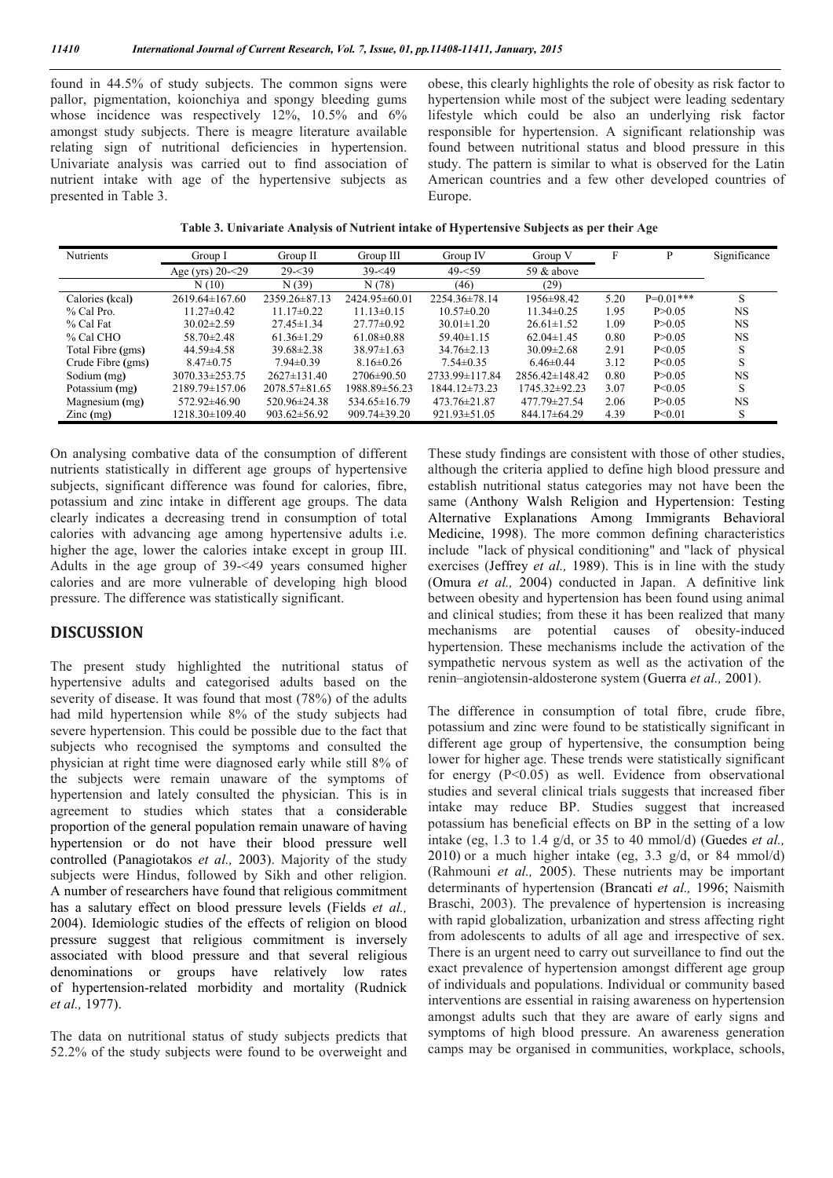found in 44.5% of study subjects. The common signs were pallor, pigmentation, koionchiya and spongy bleeding gums whose incidence was respectively 12%, 10.5% and 6% amongst study subjects. There is meagre literature available relating sign of nutritional deficiencies in hypertension. Univariate analysis was carried out to find association of nutrient intake with age of the hypertensive subjects as presented in Table 3.

obese, this clearly highlights the role of obesity as risk factor to hypertension while most of the subject were leading sedentary lifestyle which could be also an underlying risk factor responsible for hypertension. A significant relationship was found between nutritional status and blood pressure in this study. The pattern is similar to what is observed for the Latin American countries and a few other developed countries of Europe.

**Table 3. Univariate Analysis of Nutrient intake of Hypertensive Subjects as per their Age**

| <b>Nutrients</b>   | Group I              | Group $II$         | Group III          | Group IV           | Group V            | F    | P           | Significance |
|--------------------|----------------------|--------------------|--------------------|--------------------|--------------------|------|-------------|--------------|
|                    | Age (yrs) 20-<29     | $29 - 39$          | $39 - 49$          | $49 - 59$          | 59 $&$ above       |      |             |              |
|                    | N(10)                | N(39)              | N(78)              | (46)               | (29)               |      |             |              |
| Calories (kcal)    | $2619.64\pm 167.60$  | 2359.26±87.13      | 2424.95 ± 60.01    | 2254.36±78.14      | 1956±98.42         | 5.20 | $P=0.01***$ |              |
| % Cal Pro.         | $11.27 \pm 0.42$     | $11.17\pm0.22$     | $11.13\pm0.15$     | $10.57 \pm 0.20$   | $11.34\pm 0.25$    | 1.95 | P > 0.05    | <b>NS</b>    |
| % Cal Fat          | $30.02 \pm 2.59$     | $27.45 \pm 1.34$   | $27.77\pm0.92$     | $30.01 \pm 1.20$   | $26.61 \pm 1.52$   | 1.09 | P > 0.05    | <b>NS</b>    |
| % Cal CHO          | $58.70 \pm 2.48$     | $61.36 \pm 1.29$   | $61.08\pm0.88$     | $59.40 \pm 1.15$   | $62.04 \pm 1.45$   | 0.80 | P>0.05      | <b>NS</b>    |
| Total Fibre (gms)  | $44.59 \pm 4.58$     | $39.68 \pm 2.38$   | $38.97 \pm 1.63$   | $34.76 \pm 2.13$   | $30.09 \pm 2.68$   | 2.91 | P < 0.05    |              |
| Crude Fibre (gms)  | $8.47 \pm 0.75$      | $7.94 \pm 0.39$    | $8.16 \pm 0.26$    | $7.54 \pm 0.35$    | $6.46 \pm 0.44$    | 3.12 | P < 0.05    |              |
| Sodium (mg)        | $3070.33 \pm 253.75$ | $2627 \pm 131.40$  | $2706 \pm 90.50$   | 2733.99±117.84     | $2856.42\pm148.42$ | 0.80 | P > 0.05    | NS.          |
| Potassium (mg)     | 2189.79±157.06       | $2078.57\pm81.65$  | 1988.89±56.23      | 1844.12±73.23      | 1745.32±92.23      | 3.07 | P < 0.05    | S            |
| Magnesium (mg)     | 572.92±46.90         | 520.96±24.38       | $534.65 \pm 16.79$ | 473.76±21.87       | 477.79±27.54       | 2.06 | P > 0.05    | <b>NS</b>    |
| $\text{Zinc}$ (mg) | 1218.30±109.40       | $903.62 \pm 56.92$ | $909.74 \pm 39.20$ | $921.93 \pm 51.05$ | 844.17±64.29       | 4.39 | P < 0.01    |              |

On analysing combative data of the consumption of different nutrients statistically in different age groups of hypertensive subjects, significant difference was found for calories, fibre, potassium and zinc intake in different age groups. The data clearly indicates a decreasing trend in consumption of total calories with advancing age among hypertensive adults i.e. higher the age, lower the calories intake except in group III. Adults in the age group of 39-<49 years consumed higher calories and are more vulnerable of developing high blood pressure. The difference was statistically significant.

### **DISCUSSION**

The present study highlighted the nutritional status of hypertensive adults and categorised adults based on the severity of disease. It was found that most (78%) of the adults had mild hypertension while 8% of the study subjects had severe hypertension. This could be possible due to the fact that subjects who recognised the symptoms and consulted the physician at right time were diagnosed early while still 8% of the subjects were remain unaware of the symptoms of hypertension and lately consulted the physician. This is in agreement to studies which states that a considerable proportion of the general population remain unaware of having hypertension or do not have their blood pressure well controlled (Panagiotakos *et al.,* 2003). Majority of the study subjects were Hindus, followed by Sikh and other religion. A number of researchers have found that religious commitment has a salutary effect on blood pressure levels (Fields *et al.,* 2004). Idemiologic studies of the effects of religion on blood pressure suggest that religious commitment is inversely associated with blood pressure and that several religious denominations or groups have relatively low rates of hypertension-related morbidity and mortality (Rudnick *et al.,* 1977).

The data on nutritional status of study subjects predicts that 52.2% of the study subjects were found to be overweight and

These study findings are consistent with those of other studies, although the criteria applied to define high blood pressure and establish nutritional status categories may not have been the same (Anthony Walsh Religion and Hypertension: Testing Alternative Explanations Among Immigrants Behavioral Medicine, 1998). The more common defining characteristics include "lack of physical conditioning" and "lack of physical exercises (Jeffrey *et al.,* 1989). This is in line with the study (Omura *et al.,* 2004) conducted in Japan. A definitive link between obesity and hypertension has been found using animal and clinical studies; from these it has been realized that many mechanisms are potential causes of obesity-induced hypertension. These mechanisms include the activation of the sympathetic nervous system as well as the activation of the renin–angiotensin-aldosterone system (Guerra *et al.,* 2001).

The difference in consumption of total fibre, crude fibre, potassium and zinc were found to be statistically significant in different age group of hypertensive, the consumption being lower for higher age. These trends were statistically significant for energy  $(P<0.05)$  as well. Evidence from observational studies and several clinical trials suggests that increased fiber intake may reduce BP. Studies suggest that increased potassium has beneficial effects on BP in the setting of a low intake (eg, 1.3 to 1.4 g/d, or 35 to 40 mmol/d) (Guedes *et al.,* 2010) or a much higher intake (eg,  $3.3$  g/d, or 84 mmol/d) (Rahmouni *et al.,* 2005). These nutrients may be important determinants of hypertension (Brancati *et al.,* 1996; Naismith Braschi, 2003). The prevalence of hypertension is increasing with rapid globalization, urbanization and stress affecting right from adolescents to adults of all age and irrespective of sex. There is an urgent need to carry out surveillance to find out the exact prevalence of hypertension amongst different age group of individuals and populations. Individual or community based interventions are essential in raising awareness on hypertension amongst adults such that they are aware of early signs and symptoms of high blood pressure. An awareness generation camps may be organised in communities, workplace, schools,